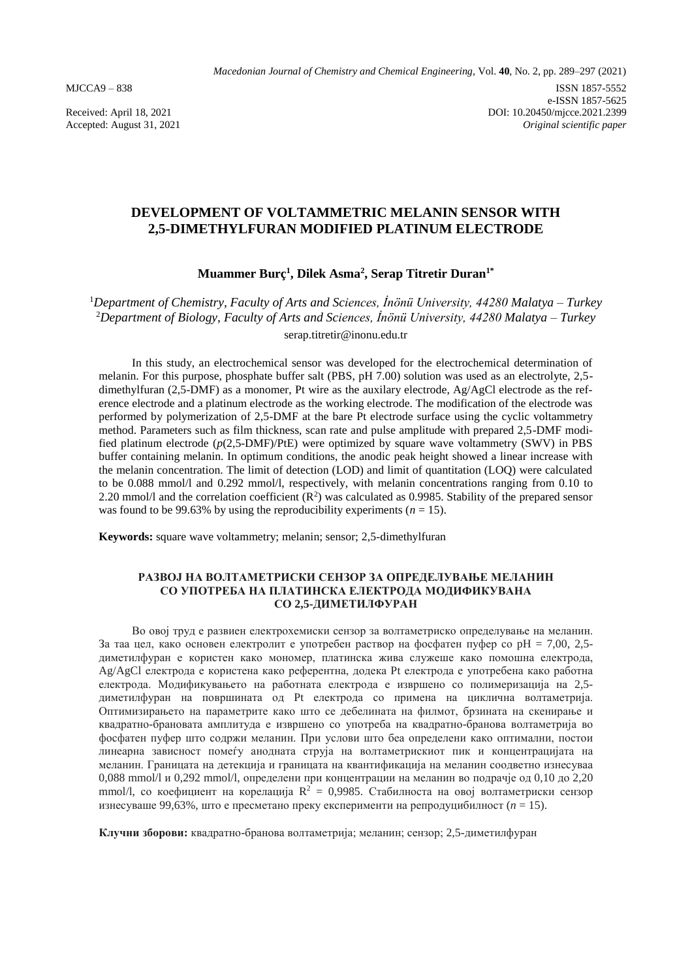Accepted: August 31, 2021

# **DEVELOPMENT OF VOLTAMMETRIC MELANIN SENSOR WITH 2,5-DIMETHYLFURAN MODIFIED PLATINUM ELECTRODE**

# **Muammer Burç<sup>1</sup> , Dilek Asma<sup>2</sup> , Serap Titretir Duran1\***

<sup>1</sup>*Department of Chemistry, Faculty of Arts and Sciences, İnönü University, 44280 Malatya – Turkey* <sup>2</sup>*Department of Biology, Faculty of Arts and Sciences, İnönü University, 44280 Malatya – Turkey* serap.titretir@inonu.edu.tr

In this study, an electrochemical sensor was developed for the electrochemical determination of melanin. For this purpose, phosphate buffer salt (PBS, pH 7.00) solution was used as an electrolyte, 2,5 dimethylfuran (2,5-DMF) as a monomer, Pt wire as the auxilary electrode, Ag/AgCl electrode as the reference electrode and a platinum electrode as the working electrode. The modification of the electrode was performed by polymerization of 2,5-DMF at the bare Pt electrode surface using the cyclic voltammetry method. Parameters such as film thickness, scan rate and pulse amplitude with prepared 2,5-DMF modified platinum electrode (*p*(2,5-DMF)/PtE) were optimized by square wave voltammetry (SWV) in PBS buffer containing melanin. In optimum conditions, the anodic peak height showed a linear increase with the melanin concentration. The limit of detection (LOD) and limit of quantitation (LOQ) were calculated to be 0.088 mmol/l and 0.292 mmol/l, respectively, with melanin concentrations ranging from 0.10 to 2.20 mmol/l and the correlation coefficient  $(R^2)$  was calculated as 0.9985. Stability of the prepared sensor was found to be 99.63% by using the reproducibility experiments  $(n = 15)$ .

**Keywords:** square wave voltammetry; melanin; sensor; 2,5-dimethylfuran

### **РАЗВОЈ НА ВОЛТАМЕТРИСКИ СЕНЗОР ЗА ОПРЕДЕЛУВАЊЕ МЕЛАНИН СО УПОТРЕБА НА ПЛАТИНСКА ЕЛЕКТРОДА МОДИФИКУВАНА СО 2,5-ДИМЕТИЛФУРАН**

Во овој труд е развиен електрохемиски сензор за волтаметриско определување на меланин. За таа цел, како основен електролит е употребен раствор на фосфатен пуфер со pH = 7,00, 2,5 диметилфуран е користен како мономер, платинска жива служеше како помошна електрода, Ag/AgCl електрода е користена како референтна, додека Pt електрода е употребена како работна електрода. Модификувањето на работната електрода е извршено со полимеризација на 2,5 диметилфуран на површината од Pt електрода со примена на циклична волтаметрија. Оптимизирањето на параметрите како што се дебелината на филмот, брзината на скенирање и квадратно-брановата амплитуда е извршено со употреба на квадратно-бранова волтаметрија во фосфатен пуфер што содржи меланин. При услови што беа определени како оптимални, постои линеарна зависност помеѓу анодната струја на волтаметрискиот пик и концентрацијата на меланин. Границата на детекција и границата на квантификација на меланин соодветно изнесуваа 0,088 mmol/l и 0,292 mmol/l, определени при концентрации на меланин во подрачје од 0,10 до 2,20 mmol/l, со коефициент на корелација  $R^2 = 0.9985$ . Стабилноста на овој волтаметриски сензор изнесуваше 99,63%, што е пресметано преку експерименти на репродуцибилност (*n* = 15).

**Клучни зборови:** квадратно-бранова волтаметрија; меланин; сензор; 2,5-диметилфуран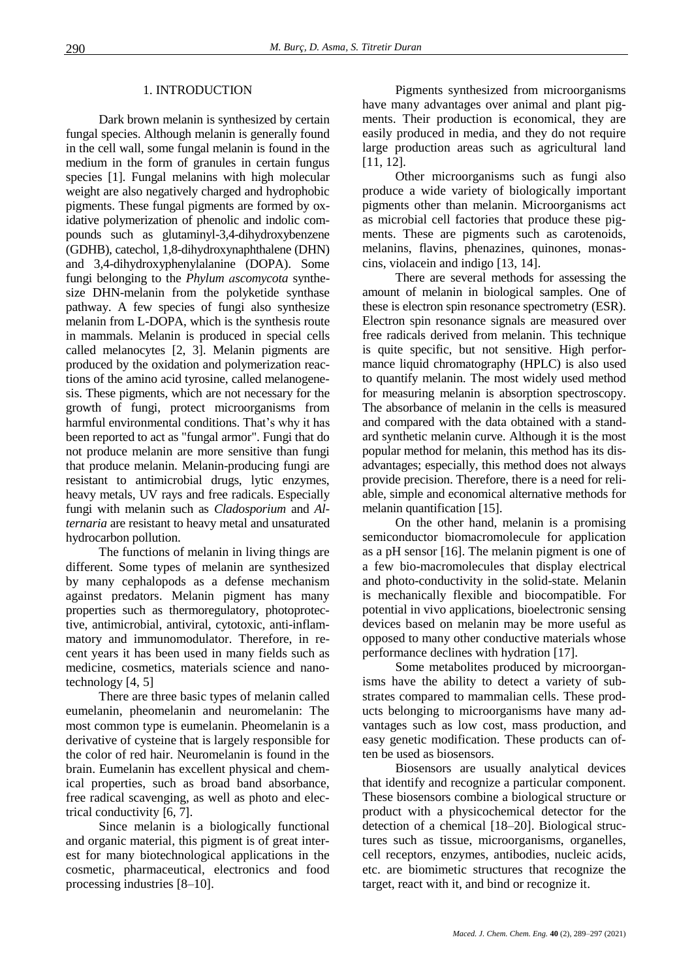#### 1. INTRODUCTION

Dark brown melanin is synthesized by certain fungal species. Although melanin is generally found in the cell wall, some fungal melanin is found in the medium in the form of granules in certain fungus species [1]. Fungal melanins with high molecular weight are also negatively charged and hydrophobic pigments. These fungal pigments are formed by oxidative polymerization of phenolic and indolic compounds such as glutaminyl-3,4-dihydroxybenzene (GDHB), catechol, 1,8-dihydroxynaphthalene (DHN) and 3,4-dihydroxyphenylalanine (DOPA). Some fungi belonging to the *Phylum аscomycota* synthesize DHN-melanin from the polyketide synthase pathway. A few species of fungi also synthesize melanin from L-DOPA, which is the synthesis route in mammals. Melanin is produced in special cells called melanocytes [2, 3]. Melanin pigments are produced by the oxidation and polymerization reactions of the amino acid tyrosine, called melanogenesis. These pigments, which are not necessary for the growth of fungi, protect microorganisms from harmful environmental conditions. That's why it has been reported to act as "fungal armor". Fungi that do not produce melanin are more sensitive than fungi that produce melanin. Melanin-producing fungi are resistant to antimicrobial drugs, lytic enzymes, heavy metals, UV rays and free radicals. Especially fungi with melanin such as *Cladosporium* and *Alternaria* are resistant to heavy metal and unsaturated hydrocarbon pollution.

The functions of melanin in living things are different. Some types of melanin are synthesized by many cephalopods as a defense mechanism against predators. Melanin pigment has many properties such as thermoregulatory, photoprotective, antimicrobial, antiviral, cytotoxic, anti-inflammatory and immunomodulator. Therefore, in recent years it has been used in many fields such as medicine, cosmetics, materials science and nanotechnology [4, 5]

There are three basic types of melanin called eumelanin, pheomelanin and neuromelanin: The most common type is eumelanin. Pheomelanin is a derivative of cysteine that is largely responsible for the color of red hair. Neuromelanin is found in the brain. Eumelanin has excellent physical and chemical properties, such as broad band absorbance, free radical scavenging, as well as photo and electrical conductivity [6, 7].

Since melanin is a biologically functional and organic material, this pigment is of great interest for many biotechnological applications in the cosmetic, pharmaceutical, electronics and food processing industries [8–10].

Pigments synthesized from microorganisms have many advantages over animal and plant pigments. Their production is economical, they are easily produced in media, and they do not require large production areas such as agricultural land [11, 12].

Other microorganisms such as fungi also produce a wide variety of biologically important pigments other than melanin. Microorganisms act as microbial cell factories that produce these pigments. These are pigments such as carotenoids, melanins, flavins, phenazines, quinones, monascins, violacein and indigo [13, 14].

There are several methods for assessing the amount of melanin in biological samples. One of these is electron spin resonance spectrometry (ESR). Electron spin resonance signals are measured over free radicals derived from melanin. This technique is quite specific, but not sensitive. High performance liquid chromatography (HPLC) is also used to quantify melanin. The most widely used method for measuring melanin is absorption spectroscopy. The absorbance of melanin in the cells is measured and compared with the data obtained with a standard synthetic melanin curve. Although it is the most popular method for melanin, this method has its disadvantages; especially, this method does not always provide precision. Therefore, there is a need for reliable, simple and economical alternative methods for melanin quantification [15].

On the other hand, melanin is a promising semiconductor biomacromolecule for application as a pH sensor [16]. The melanin pigment is one of a few bio-macromolecules that display electrical and photo-conductivity in the solid-state. Melanin is mechanically flexible and biocompatible. For potential in vivo applications, bioelectronic sensing devices based on melanin may be more useful as opposed to many other conductive materials whose performance declines with hydration [17].

Some metabolites produced by microorganisms have the ability to detect a variety of substrates compared to mammalian cells. These products belonging to microorganisms have many advantages such as low cost, mass production, and easy genetic modification. These products can often be used as biosensors.

Biosensors are usually analytical devices that identify and recognize a particular component. These biosensors combine a biological structure or product with a physicochemical detector for the detection of a chemical [18–20]. Biological structures such as tissue, microorganisms, organelles, cell receptors, enzymes, antibodies, nucleic acids, etc. are biomimetic structures that recognize the target, react with it, and bind or recognize it.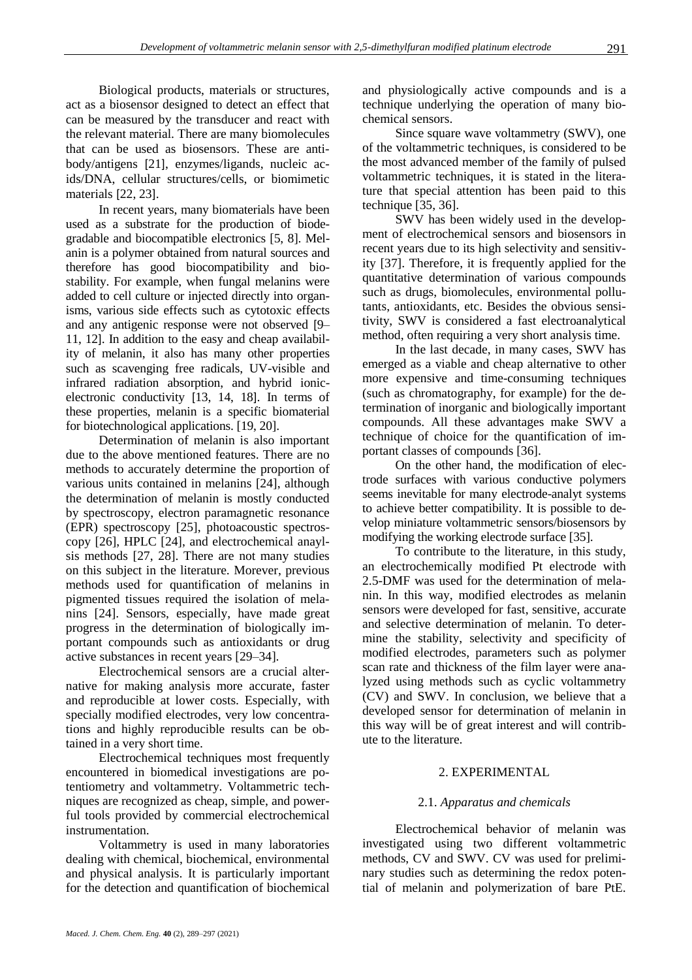Biological products, materials or structures, act as a biosensor designed to detect an effect that can be measured by the transducer and react with the relevant material. There are many biomolecules that can be used as biosensors. These are antibody/antigens [21], enzymes/ligands, nucleic acids/DNA, cellular structures/cells, or biomimetic materials [22, 23].

In recent years, many biomaterials have been used as a substrate for the production of biodegradable and biocompatible electronics [5, 8]. Melanin is a polymer obtained from natural sources and therefore has good biocompatibility and biostability. For example, when fungal melanins were added to cell culture or injected directly into organisms, various side effects such as cytotoxic effects and any antigenic response were not observed [9– 11, 12]. In addition to the easy and cheap availability of melanin, it also has many other properties such as scavenging free radicals, UV-visible and infrared radiation absorption, and hybrid ionicelectronic conductivity [13, 14, 18]. In terms of these properties, melanin is a specific biomaterial for biotechnological applications. [19, 20].

Determination of melanin is also important due to the above mentioned features. There are no methods to accurately determine the proportion of various units contained in melanins [24], although the determination of melanin is mostly conducted by spectroscopy, electron paramagnetic resonance (EPR) spectroscopy [25], photoacoustic spectroscopy [26], HPLC [24], and electrochemical anaylsis methods [27, 28]. There are not many studies on this subject in the literature. Morever, previous methods used for quantification of melanins in pigmented tissues required the isolation of melanins [24]. Sensors, especially, have made great progress in the determination of biologically important compounds such as antioxidants or drug active substances in recent years [29–34].

Electrochemical sensors are a crucial alternative for making analysis more accurate, faster and reproducible at lower costs. Especially, with specially modified electrodes, very low concentrations and highly reproducible results can be obtained in a very short time.

Electrochemical techniques most frequently encountered in biomedical investigations are potentiometry and voltammetry. Voltammetric techniques are recognized as cheap, simple, and powerful tools provided by commercial electrochemical instrumentation.

Voltammetry is used in many laboratories dealing with chemical, biochemical, environmental and physical analysis. It is particularly important for the detection and quantification of biochemical and physiologically active compounds and is a technique underlying the operation of many biochemical sensors.

Since square wave voltammetry (SWV), one of the voltammetric techniques, is considered to be the most advanced member of the family of pulsed voltammetric techniques, it is stated in the literature that special attention has been paid to this technique [35, 36].

SWV has been widely used in the development of electrochemical sensors and biosensors in recent years due to its high selectivity and sensitivity [37]. Therefore, it is frequently applied for the quantitative determination of various compounds such as drugs, biomolecules, environmental pollutants, antioxidants, etc. Besides the obvious sensitivity, SWV is considered a fast electroanalytical method, often requiring a very short analysis time.

In the last decade, in many cases, SWV has emerged as a viable and cheap alternative to other more expensive and time-consuming techniques (such as chromatography, for example) for the determination of inorganic and biologically important compounds. All these advantages make SWV a technique of choice for the quantification of important classes of compounds [36].

On the other hand, the modification of electrode surfaces with various conductive polymers seems inevitable for many electrode-analyt systems to achieve better compatibility. It is possible to develop miniature voltammetric sensors/biosensors by modifying the working electrode surface [35].

To contribute to the literature, in this study, an electrochemically modified Pt electrode with 2.5-DMF was used for the determination of melanin. In this way, modified electrodes as melanin sensors were developed for fast, sensitive, accurate and selective determination of melanin. To determine the stability, selectivity and specificity of modified electrodes, parameters such as polymer scan rate and thickness of the film layer were analyzed using methods such as cyclic voltammetry (CV) and SWV. In conclusion, we believe that a developed sensor for determination of melanin in this way will be of great interest and will contribute to the literature.

## 2. EXPERIMENTAL

## 2.1. *Apparatus and chemicals*

Electrochemical behavior of melanin was investigated using two different voltammetric methods, CV and SWV. CV was used for preliminary studies such as determining the redox potential of melanin and polymerization of bare PtE.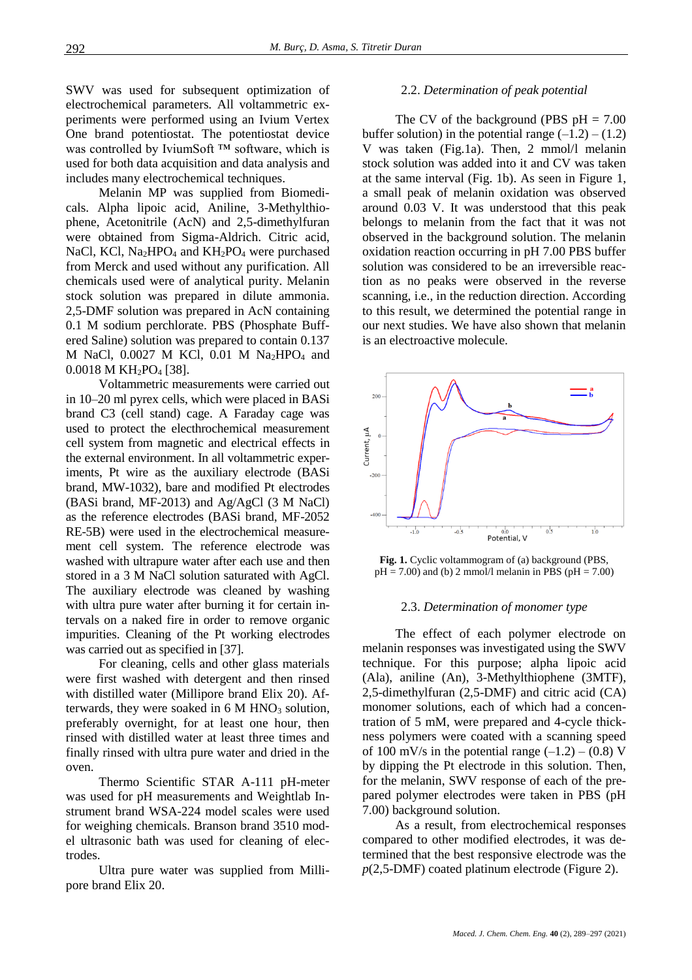SWV was used for subsequent optimization of electrochemical parameters. All voltammetric experiments were performed using an Ivium Vertex One brand potentiostat. The potentiostat device was controlled by IviumSoft ™ software, which is used for both data acquisition and data analysis and includes many electrochemical techniques.

Melanin MP was supplied from Biomedicals. Alpha lipoic acid, Aniline, 3-Methylthiophene, Acetonitrile (AcN) and 2,5-dimethylfuran were obtained from Sigma-Aldrich. Citric acid, NaCl, KCl, Na<sub>2</sub>HPO<sub>4</sub> and KH<sub>2</sub>PO<sub>4</sub> were purchased from Merck and used without any purification. All chemicals used were of analytical purity. Melanin stock solution was prepared in dilute ammonia. 2,5-DMF solution was prepared in AcN containing 0.1 M sodium perchlorate. PBS (Phosphate Buffered Saline) solution was prepared to contain 0.137 M NaCl,  $0.0027$  M KCl,  $0.01$  M Na<sub>2</sub>HPO<sub>4</sub> and  $0.0018$  M KH<sub>2</sub>PO<sub>4</sub> [38].

Voltammetric measurements were carried out in 10–20 ml pyrex cells, which were placed in BASi brand C3 (cell stand) cage. A Faraday cage was used to protect the electhrochemical measurement cell system from magnetic and electrical effects in the external environment. In all voltammetric experiments, Pt wire as the auxiliary electrode (BASi brand, MW-1032), bare and modified Pt electrodes (BASi brand, MF-2013) and Ag/AgCl (3 M NaCl) as the reference electrodes (BASi brand, MF-2052 RE-5B) were used in the electrochemical measurement cell system. The reference electrode was washed with ultrapure water after each use and then stored in a 3 M NaCl solution saturated with AgCl. The auxiliary electrode was cleaned by washing with ultra pure water after burning it for certain intervals on a naked fire in order to remove organic impurities. Cleaning of the Pt working electrodes was carried out as specified in [37].

For cleaning, cells and other glass materials were first washed with detergent and then rinsed with distilled water (Millipore brand Elix 20). Afterwards, they were soaked in  $6 \text{ M HNO}_3$  solution, preferably overnight, for at least one hour, then rinsed with distilled water at least three times and finally rinsed with ultra pure water and dried in the oven.

Thermo Scientific STAR A-111 pH-meter was used for pH measurements and Weightlab Instrument brand WSA-224 model scales were used for weighing chemicals. Branson brand 3510 model ultrasonic bath was used for cleaning of electrodes.

Ultra pure water was supplied from Millipore brand Elix 20.

#### 2.2. *Determination of peak potential*

The CV of the background (PBS  $pH = 7.00$ ) buffer solution) in the potential range  $(-1.2) - (1.2)$ V was taken (Fig.1a). Then, 2 mmol/l melanin stock solution was added into it and CV was taken at the same interval (Fig. 1b). As seen in Figure 1, a small peak of melanin oxidation was observed around 0.03 V. It was understood that this peak belongs to melanin from the fact that it was not observed in the background solution. The melanin oxidation reaction occurring in pH 7.00 PBS buffer solution was considered to be an irreversible reaction as no peaks were observed in the reverse scanning, i.e., in the reduction direction. According to this result, we determined the potential range in our next studies. We have also shown that melanin is an electroactive molecule.



**Fig. 1.** Cyclic voltammogram of (a) background (PBS,  $pH = 7.00$ ) and (b) 2 mmol/l melanin in PBS ( $pH = 7.00$ )

#### 2.3. *Determination of monomer type*

The effect of each polymer electrode on melanin responses was investigated using the SWV technique. For this purpose; alpha lipoic acid (Ala), aniline (An), 3-Methylthiophene (3MTF), 2,5-dimethylfuran (2,5-DMF) and citric acid (CA) monomer solutions, each of which had a concentration of 5 mM, were prepared and 4-cycle thickness polymers were coated with a scanning speed of 100 mV/s in the potential range  $(-1.2) - (0.8)$  V by dipping the Pt electrode in this solution. Then, for the melanin, SWV response of each of the prepared polymer electrodes were taken in PBS (pH 7.00) background solution.

As a result, from electrochemical responses compared to other modified electrodes, it was determined that the best responsive electrode was the *p*(2,5-DMF) coated platinum electrode (Figure 2).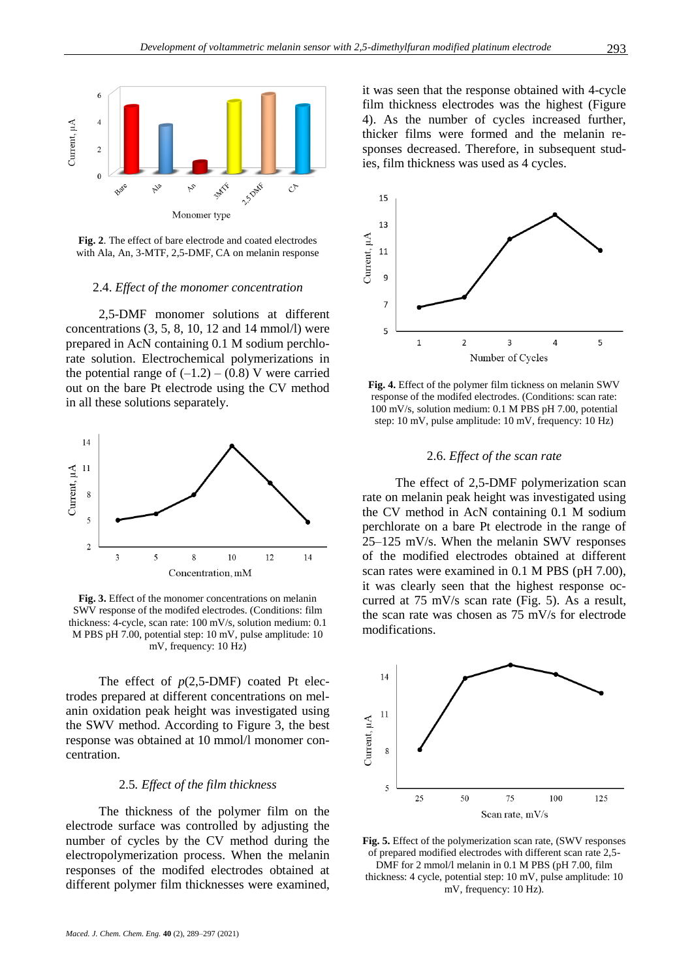

**Fig. 2**. The effect of bare electrode and coated electrodes with Ala, An, 3-MTF, 2,5-DMF, CA on melanin response

#### 2.4. *Effect of the monomer concentration*

2,5-DMF monomer solutions at different concentrations  $(3, 5, 8, 10, 12, 14 \text{ mmol/l})$  were prepared in AcN containing 0.1 M sodium perchlorate solution. Electrochemical polymerizations in the potential range of  $(-1.2) - (0.8)$  V were carried out on the bare Pt electrode using the CV method in all these solutions separately.



**Fig. 3.** Effect of the monomer concentrations on melanin SWV response of the modifed electrodes. (Conditions: film thickness: 4-cycle, scan rate: 100 mV/s, solution medium: 0.1 M PBS pH 7.00, potential step: 10 mV, pulse amplitude: 10 mV, frequency: 10 Hz)

The effect of *p*(2,5-DMF) coated Pt electrodes prepared at different concentrations on melanin oxidation peak height was investigated using the SWV method. According to Figure 3, the best response was obtained at 10 mmol/l monomer concentration.

#### 2.5*. Effect of the film thickness*

The thickness of the polymer film on the electrode surface was controlled by adjusting the number of cycles by the CV method during the electropolymerization process. When the melanin responses of the modifed electrodes obtained at different polymer film thicknesses were examined,

it was seen that the response obtained with 4-cycle film thickness electrodes was the highest (Figure 4). As the number of cycles increased further, thicker films were formed and the melanin responses decreased. Therefore, in subsequent studies, film thickness was used as 4 cycles.



**Fig. 4.** Effect of the polymer film tickness on melanin SWV response of the modifed electrodes. (Conditions: scan rate: 100 mV/s, solution medium: 0.1 M PBS pH 7.00, potential step: 10 mV, pulse amplitude: 10 mV, frequency: 10 Hz)

#### 2.6. *Effect of the scan rate*

The effect of 2,5-DMF polymerization scan rate on melanin peak height was investigated using the CV method in AcN containing 0.1 M sodium perchlorate on a bare Pt electrode in the range of 25–125 mV/s. When the melanin SWV responses of the modified electrodes obtained at different scan rates were examined in 0.1 M PBS (pH 7.00), it was clearly seen that the highest response occurred at 75 mV/s scan rate (Fig. 5). As a result, the scan rate was chosen as 75 mV/s for electrode modifications.



**Fig. 5.** Effect of the polymerization scan rate, (SWV responses of prepared modified electrodes with different scan rate 2,5- DMF for 2 mmol/l melanin in 0.1 M PBS (pH 7.00, film thickness: 4 cycle, potential step: 10 mV, pulse amplitude: 10 mV, frequency: 10 Hz).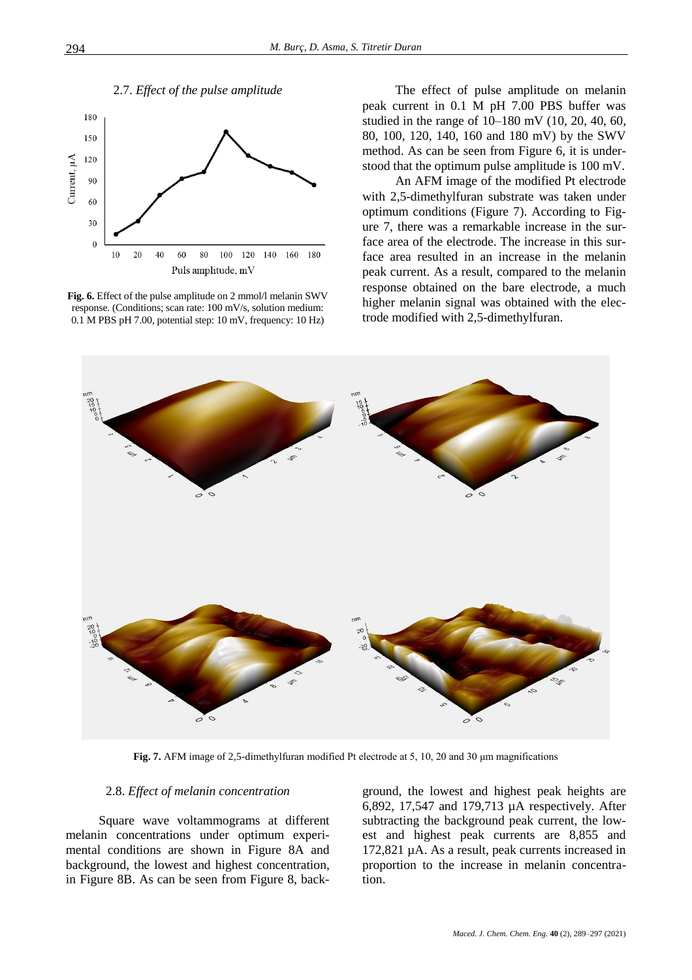

**Fig. 6.** Effect of the pulse amplitude on 2 mmol/l melanin SWV response. (Conditions; scan rate: 100 mV/s, solution medium: 0.1 M PBS pH 7.00, potential step: 10 mV, frequency: 10 Hz)

The effect of pulse amplitude on melanin peak current in 0.1 M pH 7.00 PBS buffer was studied in the range of 10–180 mV (10, 20, 40, 60, 80, 100, 120, 140, 160 and 180 mV) by the SWV method. As can be seen from Figure 6, it is understood that the optimum pulse amplitude is 100 mV.

An AFM image of the modified Pt electrode with 2,5-dimethylfuran substrate was taken under optimum conditions (Figure 7). According to Figure 7, there was a remarkable increase in the surface area of the electrode. The increase in this surface area resulted in an increase in the melanin peak current. As a result, compared to the melanin response obtained on the bare electrode, a much higher melanin signal was obtained with the electrode modified with 2,5-dimethylfuran.



**Fig. 7.** AFM image of 2,5-dimethylfuran modified Pt electrode at 5, 10, 20 and 30 μm magnifications

### 2.8. *Effect of melanin concentration*

Square wave voltammograms at different melanin concentrations under optimum experimental conditions are shown in Figure 8A and background, the lowest and highest concentration, in Figure 8B. As can be seen from Figure 8, background, the lowest and highest peak heights are 6,892, 17,547 and 179,713 µA respectively. After subtracting the background peak current, the lowest and highest peak currents are 8,855 and 172,821 µA. As a result, peak currents increased in proportion to the increase in melanin concentration.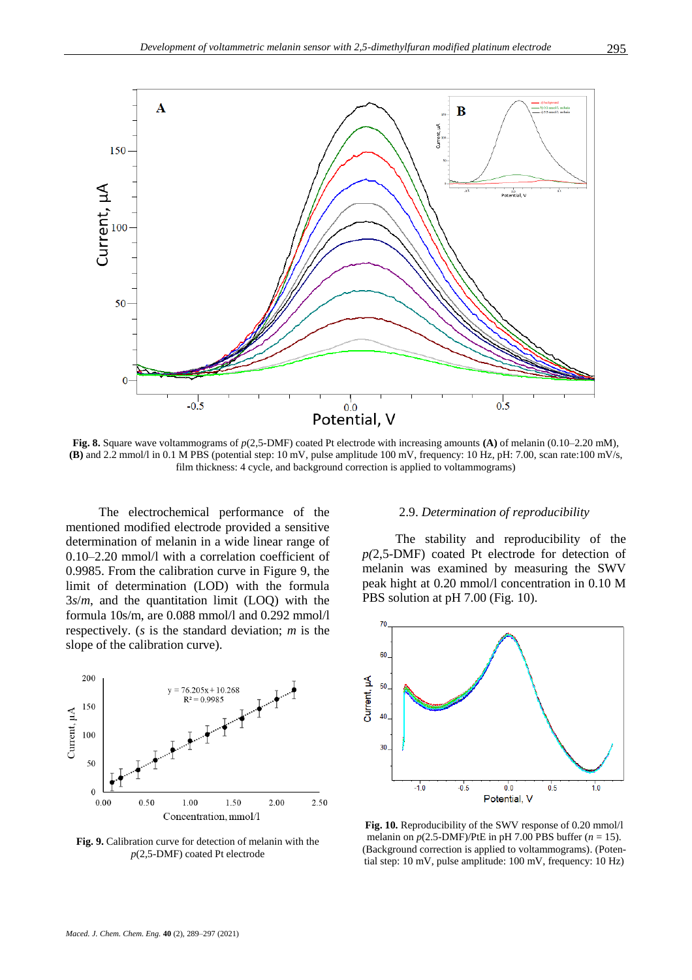

**Fig. 8.** Square wave voltammograms of *p*(2,5-DMF) coated Pt electrode with increasing amounts **(A)** of melanin (0.10–2.20 mM), **(B)** and 2.2 mmol/l in 0.1 M PBS (potential step: 10 mV, pulse amplitude 100 mV, frequency: 10 Hz, pH: 7.00, scan rate:100 mV/s, film thickness: 4 cycle, and background correction is applied to voltammograms)

The electrochemical performance of the mentioned modified electrode provided a sensitive determination of melanin in a wide linear range of 0.10–2.20 mmol/l with a correlation coefficient of 0.9985. From the calibration curve in Figure 9, the limit of determination (LOD) with the formula 3*s*/*m*, and the quantitation limit (LOQ) with the formula 10s/m, are 0.088 mmol/l and 0.292 mmol/l respectively. (*s* is the standard deviation; *m* is the slope of the calibration curve).



**Fig. 9.** Calibration curve for detection of melanin with the *p*(2,5-DMF) coated Pt electrode

#### 2.9. *Determination of reproducibility*

The stability and reproducibility of the *p(*2,5-DMF) coated Pt electrode for detection of melanin was examined by measuring the SWV peak hight at 0.20 mmol/l concentration in 0.10 M PBS solution at pH 7.00 (Fig. 10).



**Fig. 10.** Reproducibility of the SWV response of 0.20 mmol/l melanin on  $p(2.5-DMF)/P$ tE in pH 7.00 PBS buffer ( $n = 15$ ). (Background correction is applied to voltammograms). (Potential step: 10 mV, pulse amplitude: 100 mV, frequency: 10 Hz)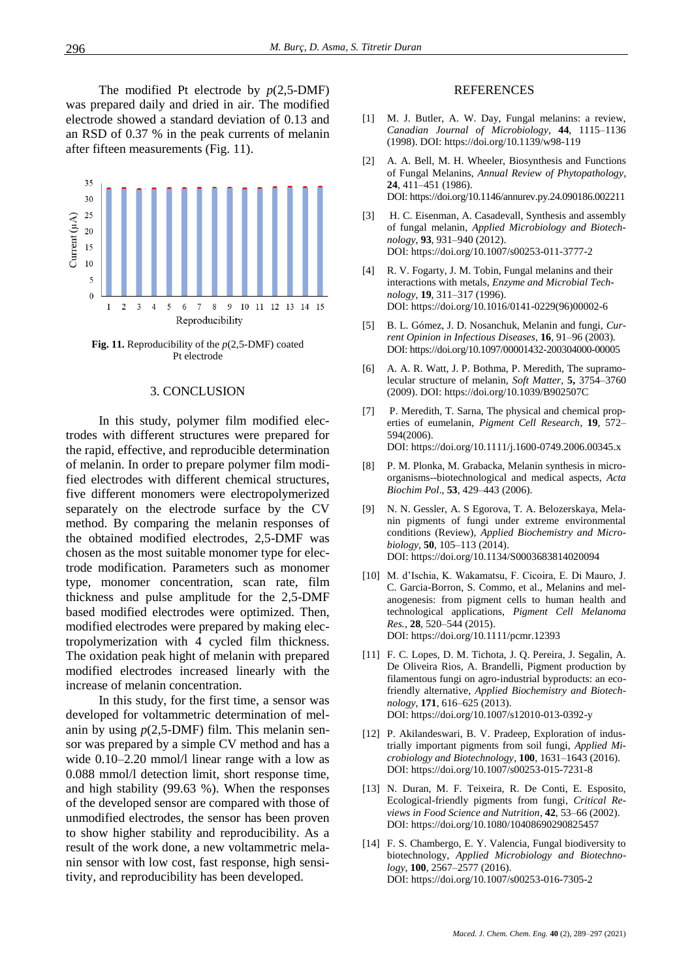The modified Pt electrode by *p*(2,5-DMF) was prepared daily and dried in air. The modified electrode showed a standard deviation of 0.13 and an RSD of 0.37 % in the peak currents of melanin after fifteen measurements (Fig. 11).



**Fig. 11.** Reproducibility of the *p*(2,5-DMF) coated Pt electrode

#### 3. CONCLUSION

In this study, polymer film modified electrodes with different structures were prepared for the rapid, effective, and reproducible determination of melanin. In order to prepare polymer film modified electrodes with different chemical structures, five different monomers were electropolymerized separately on the electrode surface by the CV method. By comparing the melanin responses of the obtained modified electrodes, 2,5-DMF was chosen as the most suitable monomer type for electrode modification. Parameters such as monomer type, monomer concentration, scan rate, film thickness and pulse amplitude for the 2,5-DMF based modified electrodes were optimized. Then, modified electrodes were prepared by making electropolymerization with 4 cycled film thickness. The oxidation peak hight of melanin with prepared modified electrodes increased linearly with the increase of melanin concentration.

In this study, for the first time, a sensor was developed for voltammetric determination of melanin by using *p*(2,5-DMF) film. This melanin sensor was prepared by a simple CV method and has a wide  $0.10-2.20$  mmol/l linear range with a low as 0.088 mmol/l detection limit, short response time, and high stability (99.63 %). When the responses of the developed sensor are compared with those of unmodified electrodes, the sensor has been proven to show higher stability and reproducibility. As a result of the work done, a new voltammetric melanin sensor with low cost, fast response, high sensitivity, and reproducibility has been developed.

#### REFERENCES

- [1] M. J. Butler, A. W. Day, Fungal melanins: a review, *Canadian Journal of Microbiology*, **44**, 1115–1136 (1998). DOI:<https://doi.org/10.1139/w98-119>
- [2] A. A. Bell, M. H. Wheeler, Biosynthesis and Functions of Fungal Melanins, *Annual Review of Phytopathology*, **24**, 411–451 (1986). DOI[: https://doi.org/10.1146/annurev.py.24.090186.002211](https://doi.org/10.1146/annurev.py.24.090186.002211)
- [3] H. C. Eisenman, A. Casadevall, Synthesis and assembly of fungal melanin, *Applied Microbiology and Biotechnology*, **93**, 931–940 (2012). DOI[: https://doi.org/10.1007/s00253-011-3777-2](https://doi.org/10.1007/s00253-011-3777-2)
- [4] R. V. Fogarty, J. M. Tobin, Fungal melanins and their interactions with metals, *Enzyme and Microbial Technology*, **19**, 311–317 (1996). DOI[: https://doi.org/10.1016/0141-0229\(96\)00002-6](https://doi.org/10.1016/0141-0229(96)00002-6)
- [5] B. L. Gómez, J. D. Nosanchuk, Melanin and fungi, *Current Opinion in Infectious Diseases,* **16**, 91–96 (2003). DOI: <https://doi.org/10.1097/00001432-200304000-00005>
- [6] A. A. R. Watt, J. P. Bothma, P. Meredith, The supramolecular structure of melanin, *Soft Matter*, **5,** 3754–3760 (2009). DOI:<https://doi.org/10.1039/B902507C>
- [7] P. Meredith, T. Sarna, The physical and chemical properties of eumelanin, *Pigment Cell Research,* **19**, 572– 594(2006). DOI[: https://doi.org/10.1111/j.1600-0749.2006.00345.x](https://doi.org/10.1111/j.1600-0749.2006.00345.x)
- [8] P. M. Plonka, M. Grabacka, Melanin synthesis in microorganisms--biotechnological and medical aspects, *Acta Biochim Pol*., **53**, 429–443 (2006).
- [9] N. N. Gessler, A. S Egorova, T. A. Belozerskaya, Melanin pigments of fungi under extreme environmental conditions (Review), *Applied Biochemistry and Microbiology*, **50**, 105–113 (2014). DOI[: https://doi.org/10.1134/S0003683814020094](https://doi.org/10.1134/S0003683814020094)
- [10] M. d'Ischia, K. Wakamatsu, F. Cicoira, E. Di Mauro, J. C. Garcia-Borron, S. Commo, et al., Melanins and melanogenesis: from pigment cells to human health and technological applications, *Pigment Cell Melanoma Res.*, **28**, 520–544 (2015). DOI[: https://doi.org/10.1111/pcmr.12393](https://doi.org/10.1111/pcmr.12393)
- [11] F. C. Lopes, D. M. Tichota, J. Q. Pereira, J. Segalin, A. De Oliveira Rios, A. Brandelli, Pigment production by filamentous fungi on agro-industrial byproducts: an ecofriendly alternative, *Applied Biochemistry and Biotechnology*, **171**, 616–625 (2013). DOI[: https://doi.org/10.1007/s12010-013-0392-y](https://doi.org/10.1007/s12010-013-0392-y)
- [12] P. Akilandeswari, B. V. Pradeep, Exploration of industrially important pigments from soil fungi, *Applied Microbiology and Biotechnology*, **100**, 1631–1643 (2016). DOI[: https://doi.org/10.1007/s00253-015-7231-8](https://doi.org/10.1007/s00253-015-7231-8)
- [13] N. Duran, M. F. Teixeira, R. De Conti, E. Esposito, Ecological-friendly pigments from fungi, *Critical Reviews in Food Science and Nutrition*, **42**, 53–66 (2002). DOI[: https://doi.org/10.1080/10408690290825457](https://doi.org/10.1080/10408690290825457)
- [14] F. S. Chambergo, E. Y. Valencia, Fungal biodiversity to biotechnology, *Applied Microbiology and Biotechnology*, **100**, 2567–2577 (2016). DOI[: https://doi.org/10.1007/s00253-016-7305-2](https://doi.org/10.1007/s00253-016-7305-2)